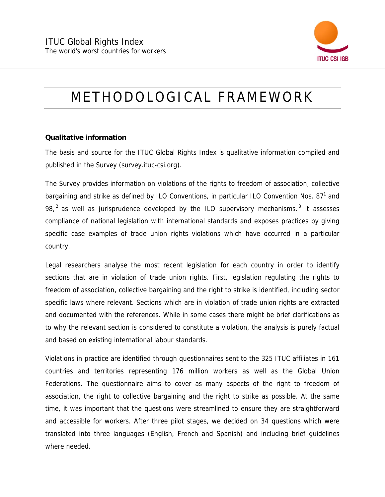

## METHODOLOGICAL FRAMEWORK

## **Qualitative information**

The basis and source for the ITUC Global Rights Index is qualitative information compiled and published in the Survey (survey.ituc-csi.org).

The Survey provides information on violations of the rights to freedom of association, collective bargaining and strike as defined by ILO Conventions, in particular ILO Convention Nos. 87<sup>1</sup> and  $98<sub>1</sub><sup>2</sup>$  as well as jurisprudence developed by the ILO supervisory mechanisms.<sup>3</sup> It assesses compliance of national legislation with international standards and exposes practices by giving specific case examples of trade union rights violations which have occurred in a particular country.

Legal researchers analyse the most recent legislation for each country in order to identify sections that are in violation of trade union rights. First, legislation regulating the rights to freedom of association, collective bargaining and the right to strike is identified, including sector specific laws where relevant. Sections which are in violation of trade union rights are extracted and documented with the references. While in some cases there might be brief clarifications as to why the relevant section is considered to constitute a violation, the analysis is purely factual and based on existing international labour standards.

Violations in practice are identified through questionnaires sent to the 325 ITUC affiliates in 161 countries and territories representing 176 million workers as well as the Global Union Federations. The questionnaire aims to cover as many aspects of the right to freedom of association, the right to collective bargaining and the right to strike as possible. At the same time, it was important that the questions were streamlined to ensure they are straightforward and accessible for workers. After three pilot stages, we decided on 34 questions which were translated into three languages (English, French and Spanish) and including brief guidelines where needed.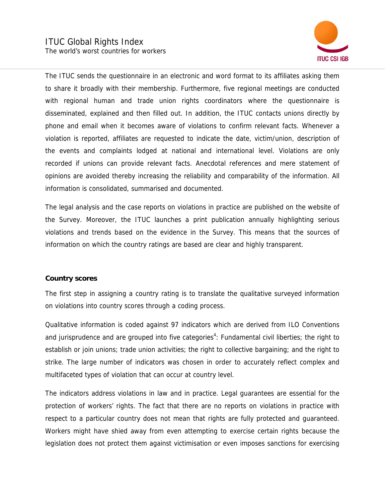

The ITUC sends the questionnaire in an electronic and word format to its affiliates asking them to share it broadly with their membership. Furthermore, five regional meetings are conducted with regional human and trade union rights coordinators where the questionnaire is disseminated, explained and then filled out. In addition, the ITUC contacts unions directly by phone and email when it becomes aware of violations to confirm relevant facts. Whenever a violation is reported, affiliates are requested to indicate the date, victim/union, description of the events and complaints lodged at national and international level. Violations are only recorded if unions can provide relevant facts. Anecdotal references and mere statement of opinions are avoided thereby increasing the reliability and comparability of the information. All information is consolidated, summarised and documented.

The legal analysis and the case reports on violations in practice are published on the website of the Survey. Moreover, the ITUC launches a print publication annually highlighting serious violations and trends based on the evidence in the Survey. This means that the sources of information on which the country ratings are based are clear and highly transparent.

## **Country scores**

The first step in assigning a country rating is to translate the qualitative surveyed information on violations into country scores through a coding process.

Qualitative information is coded against 97 indicators which are derived from ILO Conventions and jurisprudence and are grouped into five categories<sup>4</sup>: Fundamental civil liberties; the right to establish or join unions; trade union activities; the right to collective bargaining; and the right to strike. The large number of indicators was chosen in order to accurately reflect complex and multifaceted types of violation that can occur at country level.

The indicators address violations in law and in practice. Legal guarantees are essential for the protection of workers' rights. The fact that there are no reports on violations in practice with respect to a particular country does not mean that rights are fully protected and guaranteed. Workers might have shied away from even attempting to exercise certain rights because the legislation does not protect them against victimisation or even imposes sanctions for exercising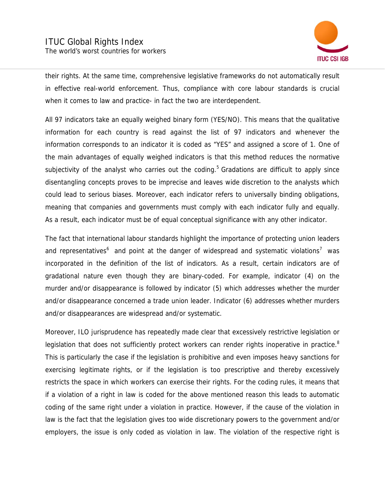

their rights. At the same time, comprehensive legislative frameworks do not automatically result in effective real-world enforcement. Thus, compliance with core labour standards is crucial when it comes to law and practice- in fact the two are interdependent.

All 97 indicators take an equally weighed binary form (YES/NO). This means that the qualitative information for each country is read against the list of 97 indicators and whenever the information corresponds to an indicator it is coded as "YES" and assigned a score of 1. One of the main advantages of equally weighed indicators is that this method reduces the normative subjectivity of the analyst who carries out the coding.<sup>5</sup> Gradations are difficult to apply since disentangling concepts proves to be imprecise and leaves wide discretion to the analysts which could lead to serious biases. Moreover, each indicator refers to universally binding obligations, meaning that companies and governments must comply with each indicator fully and equally. As a result, each indicator must be of equal conceptual significance with any other indicator.

The fact that international labour standards highlight the importance of protecting union leaders and representatives<sup>6</sup> and point at the danger of widespread and systematic violations<sup>7</sup> was incorporated in the definition of the list of indicators. As a result, certain indicators are of gradational nature even though they are binary-coded. For example, indicator (4) on the murder and/or disappearance is followed by indicator (5) which addresses whether the murder and/or disappearance concerned a trade union leader. Indicator (6) addresses whether murders and/or disappearances are widespread and/or systematic.

Moreover, ILO jurisprudence has repeatedly made clear that excessively restrictive legislation or legislation that does not sufficiently protect workers can render rights inoperative in practice.<sup>8</sup> This is particularly the case if the legislation is prohibitive and even imposes heavy sanctions for exercising legitimate rights, or if the legislation is too prescriptive and thereby excessively restricts the space in which workers can exercise their rights. For the coding rules, it means that if a violation of a right in law is coded for the above mentioned reason this leads to automatic coding of the same right under a violation in practice. However, if the cause of the violation in law is the fact that the legislation gives too wide discretionary powers to the government and/or employers, the issue is only coded as violation in law. The violation of the respective right is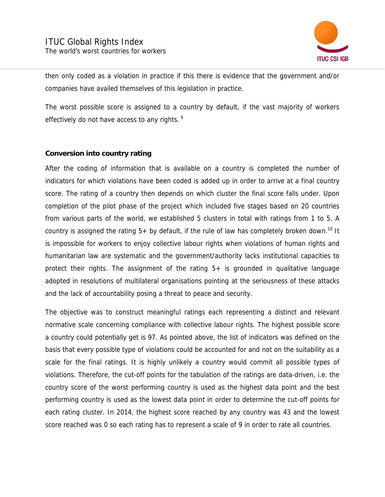

then only coded as a violation in practice if this there is evidence that the government and/or companies have availed themselves of this legislation in practice.

The worst possible score is assigned to a country by default, if the vast majority of workers effectively do not have access to any rights.<sup>9</sup>

## **Conversion into country rating**

After the coding of information that is available on a country is completed the number of indicators for which violations have been coded is added up in order to arrive at a final country score. The rating of a country then depends on which cluster the final score falls under. Upon completion of the pilot phase of the project which included five stages based on 20 countries from various parts of the world, we established 5 clusters in total with ratings from 1 to 5. A country is assigned the rating  $5+$  by default, if the rule of law has completely broken down.<sup>10</sup> It is impossible for workers to enjoy collective labour rights when violations of human rights and humanitarian law are systematic and the government/authority lacks institutional capacities to protect their rights. The assignment of the rating 5+ is grounded in qualitative language adopted in resolutions of multilateral organisations pointing at the seriousness of these attacks and the lack of accountability posing a threat to peace and security.

The objective was to construct meaningful ratings each representing a distinct and relevant normative scale concerning compliance with collective labour rights. The highest possible score a country could potentially get is 97. As pointed above, the list of indicators was defined on the basis that every possible type of violations could be accounted for and not on the suitability as a scale for the final ratings. It is highly unlikely a country would commit all possible types of violations. Therefore, the cut-off points for the tabulation of the ratings are data-driven, i.e. the country score of the worst performing country is used as the highest data point and the best performing country is used as the lowest data point in order to determine the cut-off points for each rating cluster. In 2014, the highest score reached by any country was 43 and the lowest score reached was 0 so each rating has to represent a scale of 9 in order to rate all countries.